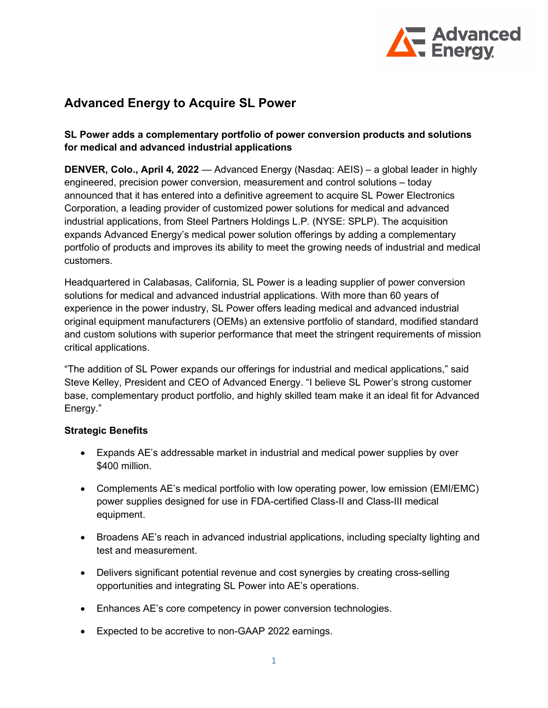

# Advanced Energy to Acquire SL Power

## SL Power adds a complementary portfolio of power conversion products and solutions for medical and advanced industrial applications

DENVER, Colo., April 4, 2022 — Advanced Energy (Nasdaq: AEIS) – a global leader in highly engineered, precision power conversion, measurement and control solutions – today announced that it has entered into a definitive agreement to acquire SL Power Electronics Corporation, a leading provider of customized power solutions for medical and advanced industrial applications, from Steel Partners Holdings L.P. (NYSE: SPLP). The acquisition expands Advanced Energy's medical power solution offerings by adding a complementary portfolio of products and improves its ability to meet the growing needs of industrial and medical customers.

Headquartered in Calabasas, California, SL Power is a leading supplier of power conversion solutions for medical and advanced industrial applications. With more than 60 years of experience in the power industry, SL Power offers leading medical and advanced industrial original equipment manufacturers (OEMs) an extensive portfolio of standard, modified standard and custom solutions with superior performance that meet the stringent requirements of mission critical applications.

"The addition of SL Power expands our offerings for industrial and medical applications," said Steve Kelley, President and CEO of Advanced Energy. "I believe SL Power's strong customer base, complementary product portfolio, and highly skilled team make it an ideal fit for Advanced Energy."

## Strategic Benefits

- Expands AE's addressable market in industrial and medical power supplies by over \$400 million.
- Complements AE's medical portfolio with low operating power, low emission (EMI/EMC) power supplies designed for use in FDA-certified Class-II and Class-III medical equipment.
- Broadens AE's reach in advanced industrial applications, including specialty lighting and test and measurement.
- Delivers significant potential revenue and cost synergies by creating cross-selling opportunities and integrating SL Power into AE's operations.
- Enhances AE's core competency in power conversion technologies.
- Expected to be accretive to non-GAAP 2022 earnings.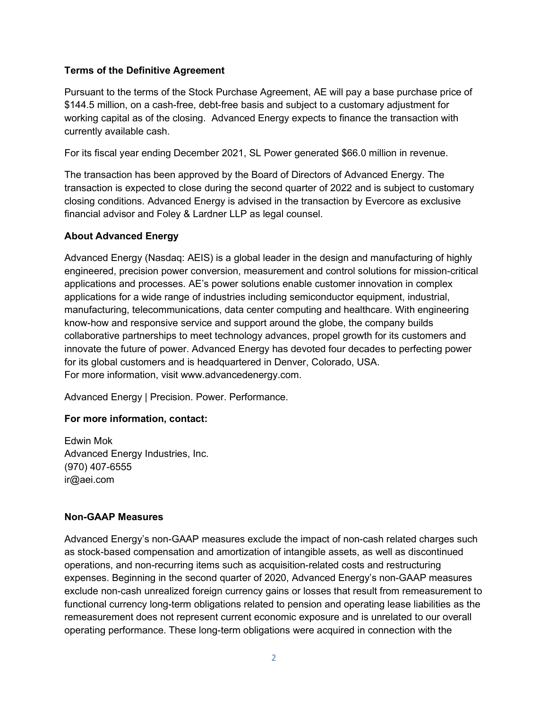## Terms of the Definitive Agreement

Pursuant to the terms of the Stock Purchase Agreement, AE will pay a base purchase price of \$144.5 million, on a cash-free, debt-free basis and subject to a customary adjustment for working capital as of the closing. Advanced Energy expects to finance the transaction with currently available cash.

For its fiscal year ending December 2021, SL Power generated \$66.0 million in revenue.

The transaction has been approved by the Board of Directors of Advanced Energy. The transaction is expected to close during the second quarter of 2022 and is subject to customary closing conditions. Advanced Energy is advised in the transaction by Evercore as exclusive financial advisor and Foley & Lardner LLP as legal counsel.

## About Advanced Energy

Advanced Energy (Nasdaq: AEIS) is a global leader in the design and manufacturing of highly engineered, precision power conversion, measurement and control solutions for mission-critical applications and processes. AE's power solutions enable customer innovation in complex applications for a wide range of industries including semiconductor equipment, industrial, manufacturing, telecommunications, data center computing and healthcare. With engineering know-how and responsive service and support around the globe, the company builds collaborative partnerships to meet technology advances, propel growth for its customers and innovate the future of power. Advanced Energy has devoted four decades to perfecting power for its global customers and is headquartered in Denver, Colorado, USA. For more information, visit www.advancedenergy.com.

Advanced Energy | Precision. Power. Performance.

## For more information, contact:

Edwin Mok Advanced Energy Industries, Inc. (970) 407-6555 ir@aei.com

## Non-GAAP Measures

Advanced Energy's non-GAAP measures exclude the impact of non-cash related charges such as stock-based compensation and amortization of intangible assets, as well as discontinued operations, and non-recurring items such as acquisition-related costs and restructuring expenses. Beginning in the second quarter of 2020, Advanced Energy's non-GAAP measures exclude non-cash unrealized foreign currency gains or losses that result from remeasurement to functional currency long-term obligations related to pension and operating lease liabilities as the remeasurement does not represent current economic exposure and is unrelated to our overall operating performance. These long-term obligations were acquired in connection with the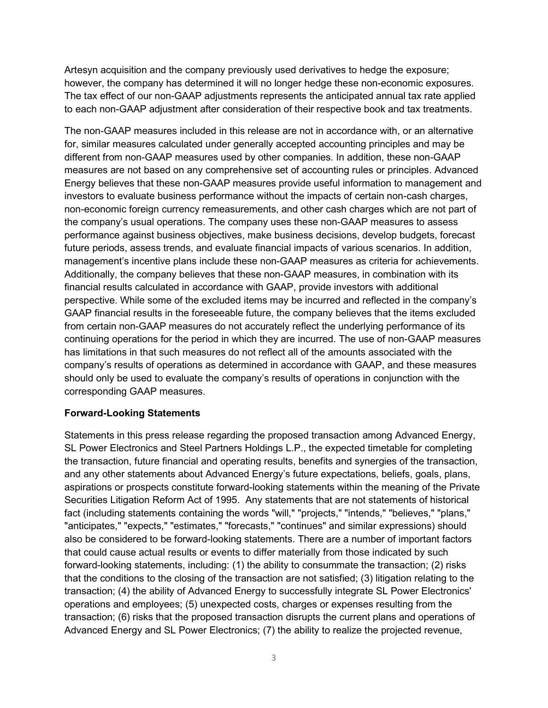Artesyn acquisition and the company previously used derivatives to hedge the exposure; however, the company has determined it will no longer hedge these non-economic exposures. The tax effect of our non-GAAP adjustments represents the anticipated annual tax rate applied to each non-GAAP adjustment after consideration of their respective book and tax treatments.

The non-GAAP measures included in this release are not in accordance with, or an alternative for, similar measures calculated under generally accepted accounting principles and may be different from non-GAAP measures used by other companies. In addition, these non-GAAP measures are not based on any comprehensive set of accounting rules or principles. Advanced Energy believes that these non-GAAP measures provide useful information to management and investors to evaluate business performance without the impacts of certain non-cash charges, non-economic foreign currency remeasurements, and other cash charges which are not part of the company's usual operations. The company uses these non-GAAP measures to assess performance against business objectives, make business decisions, develop budgets, forecast future periods, assess trends, and evaluate financial impacts of various scenarios. In addition, management's incentive plans include these non-GAAP measures as criteria for achievements. Additionally, the company believes that these non-GAAP measures, in combination with its financial results calculated in accordance with GAAP, provide investors with additional perspective. While some of the excluded items may be incurred and reflected in the company's GAAP financial results in the foreseeable future, the company believes that the items excluded from certain non-GAAP measures do not accurately reflect the underlying performance of its continuing operations for the period in which they are incurred. The use of non-GAAP measures has limitations in that such measures do not reflect all of the amounts associated with the company's results of operations as determined in accordance with GAAP, and these measures should only be used to evaluate the company's results of operations in conjunction with the corresponding GAAP measures.

## Forward-Looking Statements

Statements in this press release regarding the proposed transaction among Advanced Energy, SL Power Electronics and Steel Partners Holdings L.P., the expected timetable for completing the transaction, future financial and operating results, benefits and synergies of the transaction, and any other statements about Advanced Energy's future expectations, beliefs, goals, plans, aspirations or prospects constitute forward-looking statements within the meaning of the Private Securities Litigation Reform Act of 1995. Any statements that are not statements of historical fact (including statements containing the words "will," "projects," "intends," "believes," "plans," "anticipates," "expects," "estimates," "forecasts," "continues" and similar expressions) should also be considered to be forward-looking statements. There are a number of important factors that could cause actual results or events to differ materially from those indicated by such forward-looking statements, including: (1) the ability to consummate the transaction; (2) risks that the conditions to the closing of the transaction are not satisfied; (3) litigation relating to the transaction; (4) the ability of Advanced Energy to successfully integrate SL Power Electronics' operations and employees; (5) unexpected costs, charges or expenses resulting from the transaction; (6) risks that the proposed transaction disrupts the current plans and operations of Advanced Energy and SL Power Electronics; (7) the ability to realize the projected revenue,